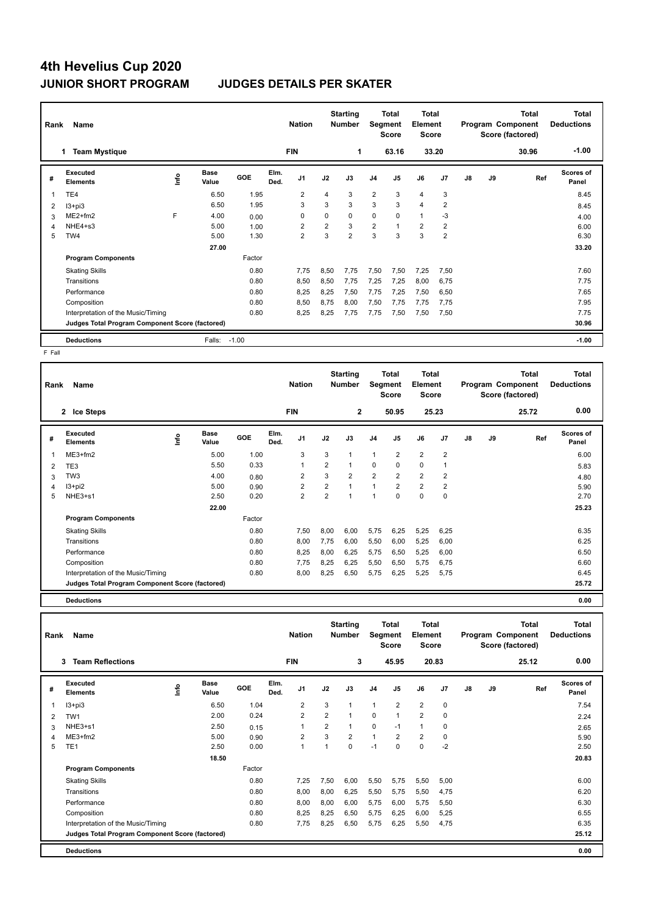# **4th Hevelius Cup 2020 JUNIOR SHORT PROGRAM JUDGES DETAILS PER SKATER**

| Rank | Name                                            |    |                      |         |              | <b>Nation</b>  |                | <b>Starting</b><br><b>Number</b> | Segment        | Total<br><b>Score</b> | <b>Total</b><br><b>Element</b><br><b>Score</b> |                |    |    | Total<br>Program Component<br>Score (factored) | <b>Total</b><br><b>Deductions</b> |
|------|-------------------------------------------------|----|----------------------|---------|--------------|----------------|----------------|----------------------------------|----------------|-----------------------|------------------------------------------------|----------------|----|----|------------------------------------------------|-----------------------------------|
|      | <b>Team Mystique</b>                            |    |                      |         |              | <b>FIN</b>     |                | 1                                |                | 63.16                 |                                                | 33.20          |    |    | 30.96                                          | $-1.00$                           |
| #    | Executed<br><b>Elements</b>                     | ۴ů | <b>Base</b><br>Value | GOE     | Elm.<br>Ded. | J <sub>1</sub> | J2             | J3                               | J <sub>4</sub> | J5                    | J6                                             | J <sub>7</sub> | J8 | J9 | Ref                                            | Scores of<br>Panel                |
| 1    | TE4                                             |    | 6.50                 | 1.95    |              | $\overline{2}$ | 4              | 3                                | $\overline{2}$ | 3                     | $\overline{4}$                                 | 3              |    |    |                                                | 8.45                              |
| 2    | $13 + pi3$                                      |    | 6.50                 | 1.95    |              | 3              | 3              | 3                                | 3              | 3                     | $\overline{4}$                                 | 2              |    |    |                                                | 8.45                              |
| 3    | ME2+fm2                                         | F  | 4.00                 | 0.00    |              | $\Omega$       | $\Omega$       | 0                                | 0              | 0                     | $\mathbf{1}$                                   | -3             |    |    |                                                | 4.00                              |
| 4    | NHE4+s3                                         |    | 5.00                 | 1.00    |              | 2              | $\overline{2}$ | 3                                | $\overline{2}$ |                       | $\overline{2}$                                 | $\overline{2}$ |    |    |                                                | 6.00                              |
| 5    | TW4                                             |    | 5.00                 | 1.30    |              | $\overline{2}$ | 3              | $\overline{2}$                   | 3              | 3                     | 3                                              | $\overline{2}$ |    |    |                                                | 6.30                              |
|      |                                                 |    | 27.00                |         |              |                |                |                                  |                |                       |                                                |                |    |    |                                                | 33.20                             |
|      | <b>Program Components</b>                       |    |                      | Factor  |              |                |                |                                  |                |                       |                                                |                |    |    |                                                |                                   |
|      | <b>Skating Skills</b>                           |    |                      | 0.80    |              | 7,75           | 8,50           | 7,75                             | 7,50           | 7,50                  | 7,25                                           | 7,50           |    |    |                                                | 7.60                              |
|      | Transitions                                     |    |                      | 0.80    |              | 8,50           | 8,50           | 7,75                             | 7,25           | 7,25                  | 8,00                                           | 6,75           |    |    |                                                | 7.75                              |
|      | Performance                                     |    |                      | 0.80    |              | 8,25           | 8,25           | 7,50                             | 7,75           | 7,25                  | 7,50                                           | 6,50           |    |    |                                                | 7.65                              |
|      | Composition                                     |    |                      | 0.80    |              | 8,50           | 8,75           | 8.00                             | 7,50           | 7,75                  | 7,75                                           | 7,75           |    |    |                                                | 7.95                              |
|      | Interpretation of the Music/Timing              |    |                      | 0.80    |              | 8,25           | 8,25           | 7,75                             | 7,75           | 7,50                  | 7,50                                           | 7,50           |    |    |                                                | 7.75                              |
|      | Judges Total Program Component Score (factored) |    |                      |         |              |                |                |                                  |                |                       |                                                |                |    |    |                                                | 30.96                             |
|      | <b>Deductions</b>                               |    | Falls:               | $-1.00$ |              |                |                |                                  |                |                       |                                                |                |    |    |                                                | $-1.00$                           |

 $F$  Fall

| Rank | Name                                            |      |                      |        |              | <b>Nation</b>           |                | <b>Starting</b><br><b>Number</b> | Segment        | Total<br><b>Score</b> | <b>Total</b><br>Element<br><b>Score</b> |                |    |    | <b>Total</b><br>Program Component<br>Score (factored) | Total<br><b>Deductions</b> |  |
|------|-------------------------------------------------|------|----------------------|--------|--------------|-------------------------|----------------|----------------------------------|----------------|-----------------------|-----------------------------------------|----------------|----|----|-------------------------------------------------------|----------------------------|--|
|      | 2 Ice Steps                                     |      |                      |        |              | <b>FIN</b>              |                | $\mathbf{2}$                     |                | 50.95                 |                                         | 25.23          |    |    | 25.72                                                 | 0.00                       |  |
| #    | Executed<br><b>Elements</b>                     | ١nfo | <b>Base</b><br>Value | GOE    | Elm.<br>Ded. | J <sub>1</sub>          | J2             | J3                               | J <sub>4</sub> | J <sub>5</sub>        | J6                                      | J <sub>7</sub> | J8 | J9 | Ref                                                   | Scores of<br>Panel         |  |
| 1    | ME3+fm2                                         |      | 5.00                 | 1.00   |              | 3                       | 3              | 1                                | $\overline{1}$ | $\overline{2}$        | $\overline{2}$                          | $\overline{2}$ |    |    |                                                       | 6.00                       |  |
| 2    | TE3                                             |      | 5.50                 | 0.33   |              | 1                       | $\overline{2}$ | 1                                | $\mathbf 0$    | 0                     | 0                                       | 1              |    |    |                                                       | 5.83                       |  |
| 3    | TW <sub>3</sub>                                 |      | 4.00                 | 0.80   |              | 2                       | 3              | 2                                | $\overline{2}$ | 2                     | 2                                       | 2              |    |    |                                                       | 4.80                       |  |
| 4    | $13 + pi2$                                      |      | 5.00                 | 0.90   |              | 2                       | $\overline{2}$ | $\mathbf{1}$                     | $\mathbf{1}$   | $\overline{2}$        | $\overline{2}$                          | 2              |    |    |                                                       | 5.90                       |  |
| 5    | NHE3+s1                                         |      | 2.50                 | 0.20   |              | $\overline{\mathbf{c}}$ | $\overline{2}$ | 1                                | 1              | 0                     | 0                                       | 0              |    |    |                                                       | 2.70                       |  |
|      |                                                 |      | 22.00                |        |              |                         |                |                                  |                |                       |                                         |                |    |    |                                                       | 25.23                      |  |
|      | <b>Program Components</b>                       |      |                      | Factor |              |                         |                |                                  |                |                       |                                         |                |    |    |                                                       |                            |  |
|      | <b>Skating Skills</b>                           |      |                      | 0.80   |              | 7,50                    | 8,00           | 6,00                             | 5,75           | 6,25                  | 5,25                                    | 6,25           |    |    |                                                       | 6.35                       |  |
|      | Transitions                                     |      |                      | 0.80   |              | 8,00                    | 7,75           | 6,00                             | 5,50           | 6,00                  | 5,25                                    | 6,00           |    |    |                                                       | 6.25                       |  |
|      | Performance                                     |      |                      | 0.80   |              | 8,25                    | 8,00           | 6,25                             | 5,75           | 6,50                  | 5,25                                    | 6,00           |    |    |                                                       | 6.50                       |  |
|      | Composition                                     |      |                      | 0.80   |              | 7,75                    | 8,25           | 6,25                             | 5,50           | 6,50                  | 5,75                                    | 6,75           |    |    |                                                       | 6.60                       |  |
|      | Interpretation of the Music/Timing              |      |                      | 0.80   |              | 8,00                    | 8,25           | 6,50                             | 5,75           | 6,25                  | 5,25                                    | 5,75           |    |    |                                                       | 6.45                       |  |
|      | Judges Total Program Component Score (factored) |      |                      |        |              |                         |                |                                  |                |                       |                                         |                |    |    |                                                       | 25.72                      |  |
|      | <b>Deductions</b>                               |      |                      |        |              |                         |                |                                  |                |                       |                                         |                |    |    |                                                       | 0.00                       |  |

| Rank | Name                                            |      |                      |        |              | <b>Nation</b>  |                | <b>Starting</b><br><b>Number</b> | Segment        | <b>Total</b><br><b>Score</b> | <b>Total</b><br>Element<br><b>Score</b> |                |    |    | <b>Total</b><br>Program Component<br>Score (factored) | <b>Total</b><br><b>Deductions</b> |
|------|-------------------------------------------------|------|----------------------|--------|--------------|----------------|----------------|----------------------------------|----------------|------------------------------|-----------------------------------------|----------------|----|----|-------------------------------------------------------|-----------------------------------|
|      | <b>Team Reflections</b><br>3                    |      |                      |        |              | <b>FIN</b>     |                | 3                                |                | 45.95                        |                                         | 20.83          |    |    | 25.12                                                 | 0.00                              |
| #    | Executed<br><b>Elements</b>                     | ١nf٥ | <b>Base</b><br>Value | GOE    | Elm.<br>Ded. | J <sub>1</sub> | J2             | J3                               | J <sub>4</sub> | J <sub>5</sub>               | J6                                      | J <sub>7</sub> | J8 | J9 | Ref                                                   | <b>Scores of</b><br>Panel         |
| 1    | $13 + pi3$                                      |      | 6.50                 | 1.04   |              | $\overline{2}$ | 3              |                                  | $\mathbf{1}$   | $\overline{2}$               | $\overline{2}$                          | 0              |    |    |                                                       | 7.54                              |
| 2    | TW1                                             |      | 2.00                 | 0.24   |              | $\overline{2}$ | $\overline{2}$ |                                  | $\mathbf 0$    | $\mathbf 1$                  | $\overline{2}$                          | 0              |    |    |                                                       | 2.24                              |
| 3    | NHE3+s1                                         |      | 2.50                 | 0.15   |              | 1              | $\overline{2}$ | 1                                | $\mathbf 0$    | $-1$                         | $\mathbf{1}$                            | 0              |    |    |                                                       | 2.65                              |
| 4    | ME3+fm2                                         |      | 5.00                 | 0.90   |              | $\overline{2}$ | 3              | $\overline{2}$                   | $\mathbf{1}$   | $\overline{2}$               | $\overline{2}$                          | 0              |    |    |                                                       | 5.90                              |
| 5    | TE <sub>1</sub>                                 |      | 2.50                 | 0.00   |              | 1              | 1              | $\mathbf 0$                      | $-1$           | $\Omega$                     | $\Omega$                                | $-2$           |    |    |                                                       | 2.50                              |
|      |                                                 |      | 18.50                |        |              |                |                |                                  |                |                              |                                         |                |    |    |                                                       | 20.83                             |
|      | <b>Program Components</b>                       |      |                      | Factor |              |                |                |                                  |                |                              |                                         |                |    |    |                                                       |                                   |
|      | <b>Skating Skills</b>                           |      |                      | 0.80   |              | 7.25           | 7.50           | 6,00                             | 5,50           | 5,75                         | 5,50                                    | 5,00           |    |    |                                                       | 6.00                              |
|      | Transitions                                     |      |                      | 0.80   |              | 8,00           | 8,00           | 6,25                             | 5,50           | 5,75                         | 5.50                                    | 4.75           |    |    |                                                       | 6.20                              |
|      | Performance                                     |      |                      | 0.80   |              | 8.00           | 8,00           | 6,00                             | 5,75           | 6,00                         | 5,75                                    | 5,50           |    |    |                                                       | 6.30                              |
|      | Composition                                     |      |                      | 0.80   |              | 8.25           | 8,25           | 6,50                             | 5,75           | 6,25                         | 6,00                                    | 5,25           |    |    |                                                       | 6.55                              |
|      | Interpretation of the Music/Timing              |      |                      | 0.80   |              | 7.75           | 8,25           | 6,50                             | 5,75           | 6,25                         | 5,50                                    | 4,75           |    |    |                                                       | 6.35                              |
|      | Judges Total Program Component Score (factored) |      |                      |        |              |                |                |                                  |                |                              |                                         |                |    |    |                                                       | 25.12                             |
|      | <b>Deductions</b>                               |      |                      |        |              |                |                |                                  |                |                              |                                         |                |    |    |                                                       | 0.00                              |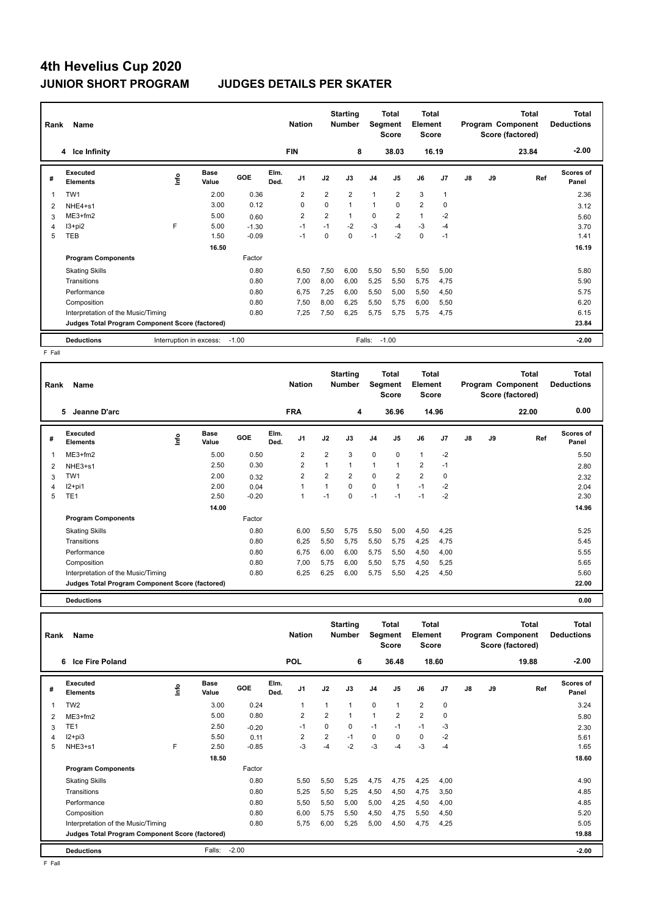# **4th Hevelius Cup 2020 JUNIOR SHORT PROGRAM JUDGES DETAILS PER SKATER**

| Rank | Name                                            |                         |                      |         |              | <b>Nation</b>  |                | <b>Starting</b><br><b>Number</b> |                | <b>Total</b><br><b>Segment</b><br>Score | <b>Total</b><br>Element<br><b>Score</b> |              |               |    | <b>Total</b><br>Program Component<br>Score (factored) | <b>Total</b><br><b>Deductions</b> |
|------|-------------------------------------------------|-------------------------|----------------------|---------|--------------|----------------|----------------|----------------------------------|----------------|-----------------------------------------|-----------------------------------------|--------------|---------------|----|-------------------------------------------------------|-----------------------------------|
|      | 4 Ice Infinity                                  |                         |                      |         |              | <b>FIN</b>     |                | 8                                |                | 38.03                                   |                                         | 16.19        |               |    | 23.84                                                 | $-2.00$                           |
| #    | Executed<br><b>Elements</b>                     | ١nf٥                    | <b>Base</b><br>Value | GOE     | Elm.<br>Ded. | J1             | J2             | J3                               | J <sub>4</sub> | J <sub>5</sub>                          | J6                                      | J7           | $\mathsf{J}8$ | J9 | Ref                                                   | Scores of<br>Panel                |
| 1    | TW1                                             |                         | 2.00                 | 0.36    |              | $\overline{2}$ | $\overline{2}$ | $\overline{2}$                   | $\mathbf{1}$   | $\overline{2}$                          | 3                                       | $\mathbf{1}$ |               |    |                                                       | 2.36                              |
| 2    | NHE4+s1                                         |                         | 3.00                 | 0.12    |              | 0              | 0              | $\mathbf{1}$                     | $\mathbf{1}$   | 0                                       | $\overline{2}$                          | $\mathbf 0$  |               |    |                                                       | 3.12                              |
| 3    | ME3+fm2                                         |                         | 5.00                 | 0.60    |              | $\overline{2}$ | $\overline{2}$ | $\mathbf{1}$                     | 0              | $\overline{2}$                          | $\mathbf{1}$                            | $-2$         |               |    |                                                       | 5.60                              |
| 4    | $13 + pi2$                                      | F                       | 5.00                 | $-1.30$ |              | $-1$           | $-1$           | $-2$                             | $-3$           | $-4$                                    | $-3$                                    | $-4$         |               |    |                                                       | 3.70                              |
| 5    | TEB                                             |                         | 1.50                 | $-0.09$ |              | $-1$           | 0              | $\mathbf 0$                      | $-1$           | $-2$                                    | $\mathbf 0$                             | $-1$         |               |    |                                                       | 1.41                              |
|      |                                                 |                         | 16.50                |         |              |                |                |                                  |                |                                         |                                         |              |               |    |                                                       | 16.19                             |
|      | <b>Program Components</b>                       |                         |                      | Factor  |              |                |                |                                  |                |                                         |                                         |              |               |    |                                                       |                                   |
|      | <b>Skating Skills</b>                           |                         |                      | 0.80    |              | 6,50           | 7,50           | 6,00                             | 5,50           | 5,50                                    | 5,50                                    | 5,00         |               |    |                                                       | 5.80                              |
|      | Transitions                                     |                         |                      | 0.80    |              | 7,00           | 8,00           | 6,00                             | 5,25           | 5,50                                    | 5,75                                    | 4,75         |               |    |                                                       | 5.90                              |
|      | Performance                                     |                         |                      | 0.80    |              | 6,75           | 7,25           | 6,00                             | 5,50           | 5,00                                    | 5,50                                    | 4,50         |               |    |                                                       | 5.75                              |
|      | Composition                                     |                         |                      | 0.80    |              | 7,50           | 8,00           | 6,25                             | 5,50           | 5,75                                    | 6,00                                    | 5,50         |               |    |                                                       | 6.20                              |
|      | Interpretation of the Music/Timing              |                         |                      | 0.80    |              | 7,25           | 7,50           | 6,25                             | 5,75           | 5,75                                    | 5,75                                    | 4,75         |               |    |                                                       | 6.15                              |
|      | Judges Total Program Component Score (factored) |                         |                      |         |              |                |                |                                  |                |                                         |                                         |              |               |    |                                                       | 23.84                             |
|      | <b>Deductions</b>                               | Interruption in excess: |                      | $-1.00$ |              |                |                |                                  | Falls:         | $-1.00$                                 |                                         |              |               |    |                                                       | $-2.00$                           |

 $F$  Fall

| Rank | Name                                            |             |                      |         |              | <b>Nation</b>  |                | <b>Starting</b><br><b>Number</b> | Segment        | Total<br><b>Score</b> | Total<br>Element<br><b>Score</b> |                |    |    | <b>Total</b><br>Program Component<br>Score (factored) | <b>Total</b><br><b>Deductions</b> |  |
|------|-------------------------------------------------|-------------|----------------------|---------|--------------|----------------|----------------|----------------------------------|----------------|-----------------------|----------------------------------|----------------|----|----|-------------------------------------------------------|-----------------------------------|--|
|      | 5<br>Jeanne D'arc                               |             |                      |         |              | <b>FRA</b>     |                | 4                                |                | 36.96                 |                                  | 14.96          |    |    | 22.00                                                 | 0.00                              |  |
| #    | Executed<br><b>Elements</b>                     | <b>Info</b> | <b>Base</b><br>Value | GOE     | Elm.<br>Ded. | J <sub>1</sub> | J2             | J3                               | J <sub>4</sub> | J5                    | J6                               | J <sub>7</sub> | J8 | J9 | Ref                                                   | Scores of<br>Panel                |  |
|      | ME3+fm2                                         |             | 5.00                 | 0.50    |              | $\overline{2}$ | $\overline{2}$ | 3                                | 0              | $\mathbf 0$           | $\mathbf{1}$                     | $-2$           |    |    |                                                       | 5.50                              |  |
| 2    | NHE3+s1                                         |             | 2.50                 | 0.30    |              | $\overline{2}$ | 1              | $\mathbf{1}$                     | 1              | $\mathbf{1}$          | $\overline{2}$                   | $-1$           |    |    |                                                       | 2.80                              |  |
| 3    | TW1                                             |             | 2.00                 | 0.32    |              | $\overline{2}$ | $\overline{2}$ | $\overline{2}$                   | 0              | $\overline{2}$        | $\overline{2}$                   | $\mathbf 0$    |    |    |                                                       | 2.32                              |  |
| 4    | $12+pi1$                                        |             | 2.00                 | 0.04    |              |                | 1              | $\Omega$                         | 0              | $\mathbf{1}$          | $-1$                             | $-2$           |    |    |                                                       | 2.04                              |  |
| 5    | TE <sub>1</sub>                                 |             | 2.50                 | $-0.20$ |              | 1              | $-1$           | $\Omega$                         | $-1$           | $-1$                  | $-1$                             | $-2$           |    |    |                                                       | 2.30                              |  |
|      |                                                 |             | 14.00                |         |              |                |                |                                  |                |                       |                                  |                |    |    |                                                       | 14.96                             |  |
|      | <b>Program Components</b>                       |             |                      | Factor  |              |                |                |                                  |                |                       |                                  |                |    |    |                                                       |                                   |  |
|      | <b>Skating Skills</b>                           |             |                      | 0.80    |              | 6,00           | 5,50           | 5,75                             | 5,50           | 5,00                  | 4,50                             | 4,25           |    |    |                                                       | 5.25                              |  |
|      | Transitions                                     |             |                      | 0.80    |              | 6,25           | 5,50           | 5.75                             | 5,50           | 5,75                  | 4,25                             | 4,75           |    |    |                                                       | 5.45                              |  |
|      | Performance                                     |             |                      | 0.80    |              | 6,75           | 6,00           | 6,00                             | 5,75           | 5,50                  | 4,50                             | 4,00           |    |    |                                                       | 5.55                              |  |
|      | Composition                                     |             |                      | 0.80    |              | 7,00           | 5.75           | 6,00                             | 5,50           | 5.75                  | 4,50                             | 5,25           |    |    |                                                       | 5.65                              |  |
|      | Interpretation of the Music/Timing              |             |                      | 0.80    |              | 6,25           | 6,25           | 6,00                             | 5,75           | 5,50                  | 4,25                             | 4,50           |    |    |                                                       | 5.60                              |  |
|      | Judges Total Program Component Score (factored) |             |                      |         |              |                |                |                                  |                |                       |                                  |                |    |    |                                                       | 22.00                             |  |
|      | <b>Deductions</b>                               |             |                      |         |              |                |                |                                  |                |                       |                                  |                |    |    |                                                       | 0.00                              |  |

| Rank | Name                                            |     |                      |            |              | <b>Nation</b>  |                | <b>Starting</b><br><b>Number</b> | Segment        | Total<br>Score | <b>Total</b><br>Element<br>Score |       |               |    | <b>Total</b><br>Program Component<br>Score (factored) | Total<br><b>Deductions</b> |
|------|-------------------------------------------------|-----|----------------------|------------|--------------|----------------|----------------|----------------------------------|----------------|----------------|----------------------------------|-------|---------------|----|-------------------------------------------------------|----------------------------|
|      | <b>Ice Fire Poland</b><br>6                     |     |                      |            |              | <b>POL</b>     |                | 6                                |                | 36.48          |                                  | 18.60 |               |    | 19.88                                                 | $-2.00$                    |
| #    | Executed<br><b>Elements</b>                     | ١۴٥ | <b>Base</b><br>Value | <b>GOE</b> | Elm.<br>Ded. | J <sub>1</sub> | J2             | J3                               | J <sub>4</sub> | J <sub>5</sub> | J6                               | J7    | $\mathsf{J}8$ | J9 | Ref                                                   | Scores of<br>Panel         |
| 1    | TW <sub>2</sub>                                 |     | 3.00                 | 0.24       |              |                | 1              | $\mathbf{1}$                     | $\mathbf 0$    | $\mathbf{1}$   | $\overline{2}$                   | 0     |               |    |                                                       | 3.24                       |
| 2    | $ME3+fm2$                                       |     | 5.00                 | 0.80       |              | $\overline{2}$ | $\overline{2}$ | $\mathbf{1}$                     | $\overline{1}$ | $\overline{2}$ | $\overline{2}$                   | 0     |               |    |                                                       | 5.80                       |
| 3    | TE <sub>1</sub>                                 |     | 2.50                 | $-0.20$    |              | $-1$           | 0              | 0                                | $-1$           | $-1$           | $-1$                             | $-3$  |               |    |                                                       | 2.30                       |
| 4    | $I2 + pi3$                                      |     | 5.50                 | 0.11       |              | $\overline{2}$ | $\overline{2}$ | $-1$                             | 0              | 0              | 0                                | $-2$  |               |    |                                                       | 5.61                       |
| 5    | NHE3+s1                                         | F   | 2.50                 | $-0.85$    |              | $-3$           | $-4$           | $-2$                             | $-3$           | $-4$           | $-3$                             | $-4$  |               |    |                                                       | 1.65                       |
|      |                                                 |     | 18.50                |            |              |                |                |                                  |                |                |                                  |       |               |    |                                                       | 18.60                      |
|      | <b>Program Components</b>                       |     |                      | Factor     |              |                |                |                                  |                |                |                                  |       |               |    |                                                       |                            |
|      | <b>Skating Skills</b>                           |     |                      | 0.80       |              | 5,50           | 5,50           | 5,25                             | 4,75           | 4,75           | 4,25                             | 4,00  |               |    |                                                       | 4.90                       |
|      | Transitions                                     |     |                      | 0.80       |              | 5,25           | 5,50           | 5,25                             | 4,50           | 4,50           | 4,75                             | 3,50  |               |    |                                                       | 4.85                       |
|      | Performance                                     |     |                      | 0.80       |              | 5.50           | 5,50           | 5,00                             | 5,00           | 4,25           | 4,50                             | 4,00  |               |    |                                                       | 4.85                       |
|      | Composition                                     |     |                      | 0.80       |              | 6,00           | 5,75           | 5,50                             | 4,50           | 4,75           | 5,50                             | 4,50  |               |    |                                                       | 5.20                       |
|      | Interpretation of the Music/Timing              |     |                      | 0.80       |              | 5,75           | 6,00           | 5,25                             | 5,00           | 4,50           | 4,75                             | 4,25  |               |    |                                                       | 5.05                       |
|      | Judges Total Program Component Score (factored) |     |                      |            |              |                |                |                                  |                |                |                                  |       |               |    |                                                       | 19.88                      |
|      | <b>Deductions</b>                               |     | Falls:               | $-2.00$    |              |                |                |                                  |                |                |                                  |       |               |    |                                                       | $-2.00$                    |